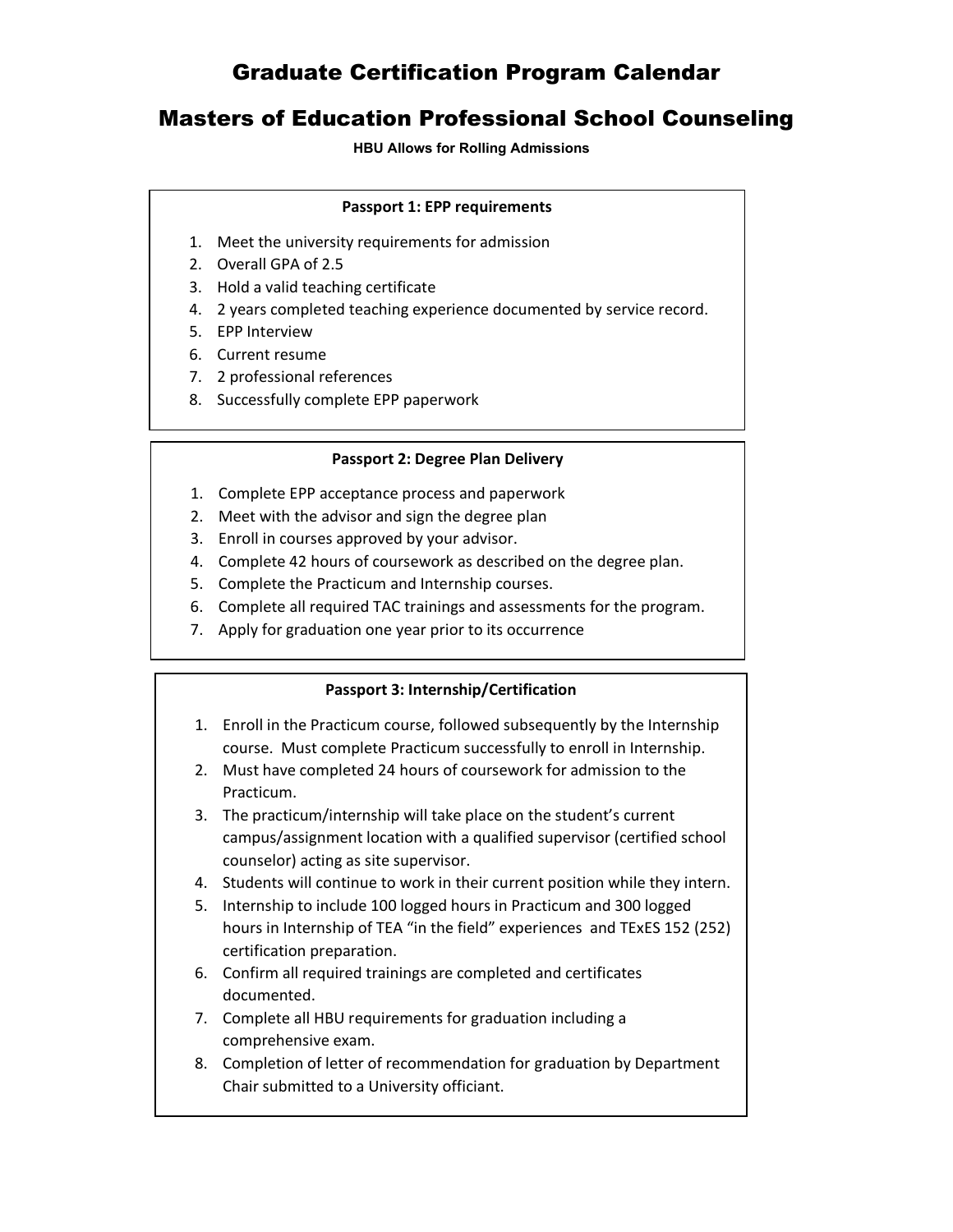## Graduate Certification Program Calendar

### Masters of Education Professional School Counseling

#### **HBU Allows for Rolling Admissions**

#### **Passport 1: EPP requirements**

- 1. Meet the university requirements for admission
- 2. Overall GPA of 2.5
- 3. Hold a valid teaching certificate
- 4. 2 years completed teaching experience documented by service record.
- 5. EPP Interview
- 6. Current resume
- 7. 2 professional references
- 8. Successfully complete EPP paperwork

#### **Passport 2: Degree Plan Delivery**

- 1. Complete EPP acceptance process and paperwork
- 2. Meet with the advisor and sign the degree plan
- 3. Enroll in courses approved by your advisor.
- 4. Complete 42 hours of coursework as described on the degree plan.
- 5. Complete the Practicum and Internship courses.
- 6. Complete all required TAC trainings and assessments for the program.
- 7. Apply for graduation one year prior to its occurrence

#### **Passport 3: Internship/Certification**

- 1. Enroll in the Practicum course, followed subsequently by the Internship course. Must complete Practicum successfully to enroll in Internship.
- 2. Must have completed 24 hours of coursework for admission to the Practicum.
- 3. The practicum/internship will take place on the student's current campus/assignment location with a qualified supervisor (certified school counselor) acting as site supervisor.
- 4. Students will continue to work in their current position while they intern.
- 5. Internship to include 100 logged hours in Practicum and 300 logged hours in Internship of TEA "in the field" experiences and TExES 152 (252) certification preparation.
- 6. Confirm all required trainings are completed and certificates documented.
- 7. Complete all HBU requirements for graduation including a comprehensive exam.
- 8. Completion of letter of recommendation for graduation by Department Chair submitted to a University officiant.